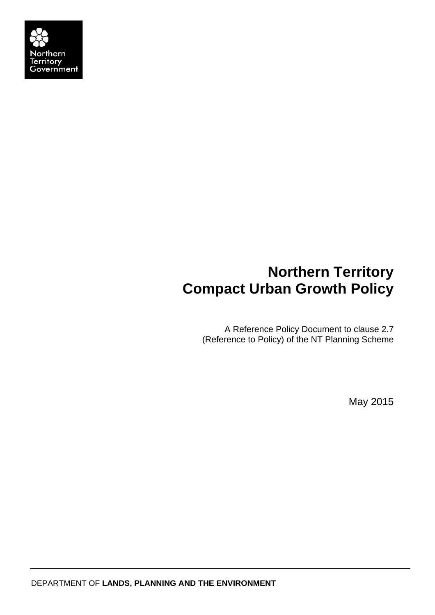

# **Northern Territory Compact Urban Growth Policy**

A Reference Policy Document to clause 2.7 (Reference to Policy) of the NT Planning Scheme

May 2015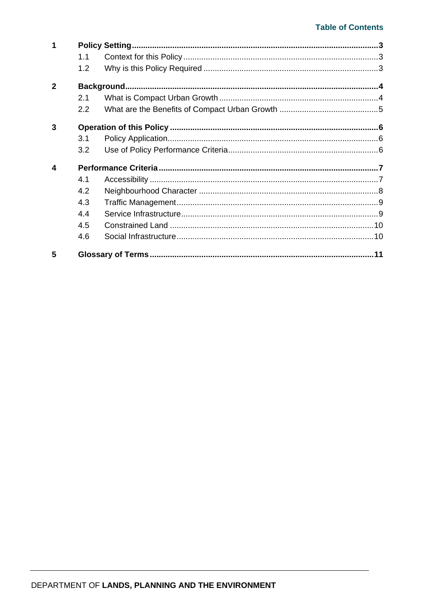### **Table of Contents**

| 1            |               |  |  |
|--------------|---------------|--|--|
|              | 1.1           |  |  |
|              | 1.2           |  |  |
| $\mathbf{2}$ |               |  |  |
|              | 2.1           |  |  |
|              | $2.2^{\circ}$ |  |  |
| 3            |               |  |  |
|              | 3.1           |  |  |
|              | 3.2           |  |  |
| 4            |               |  |  |
|              | 4.1           |  |  |
|              | 4.2           |  |  |
|              | 4.3           |  |  |
|              | 4.4           |  |  |
|              | 4.5           |  |  |
|              | 4.6           |  |  |
| 5            |               |  |  |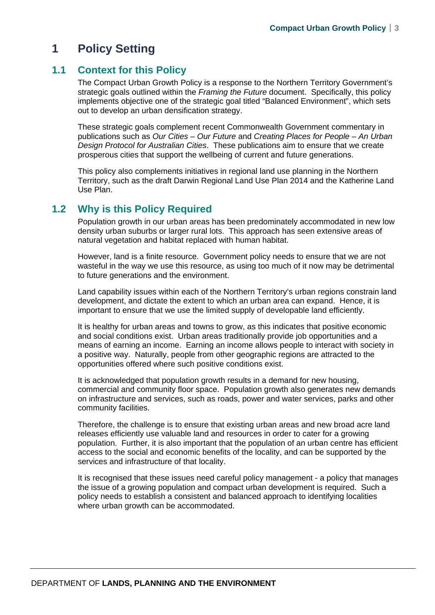## **1 Policy Setting**

## **1.1 Context for this Policy**

The Compact Urban Growth Policy is a response to the Northern Territory Government's strategic goals outlined within the *Framing the Future* document. Specifically, this policy implements objective one of the strategic goal titled "Balanced Environment", which sets out to develop an urban densification strategy.

These strategic goals complement recent Commonwealth Government commentary in publications such as *Our Cities – Our Future* and *Creating Places for People – An Urban Design Protocol for Australian Cities*. These publications aim to ensure that we create prosperous cities that support the wellbeing of current and future generations.

This policy also complements initiatives in regional land use planning in the Northern Territory, such as the draft Darwin Regional Land Use Plan 2014 and the Katherine Land Use Plan.

## **1.2 Why is this Policy Required**

Population growth in our urban areas has been predominately accommodated in new low density urban suburbs or larger rural lots. This approach has seen extensive areas of natural vegetation and habitat replaced with human habitat.

However, land is a finite resource. Government policy needs to ensure that we are not wasteful in the way we use this resource, as using too much of it now may be detrimental to future generations and the environment.

Land capability issues within each of the Northern Territory's urban regions constrain land development, and dictate the extent to which an urban area can expand. Hence, it is important to ensure that we use the limited supply of developable land efficiently.

It is healthy for urban areas and towns to grow, as this indicates that positive economic and social conditions exist. Urban areas traditionally provide job opportunities and a means of earning an income. Earning an income allows people to interact with society in a positive way. Naturally, people from other geographic regions are attracted to the opportunities offered where such positive conditions exist.

It is acknowledged that population growth results in a demand for new housing, commercial and community floor space. Population growth also generates new demands on infrastructure and services, such as roads, power and water services, parks and other community facilities.

Therefore, the challenge is to ensure that existing urban areas and new broad acre land releases efficiently use valuable land and resources in order to cater for a growing population. Further, it is also important that the population of an urban centre has efficient access to the social and economic benefits of the locality, and can be supported by the services and infrastructure of that locality.

It is recognised that these issues need careful policy management - a policy that manages the issue of a growing population and compact urban development is required. Such a policy needs to establish a consistent and balanced approach to identifying localities where urban growth can be accommodated.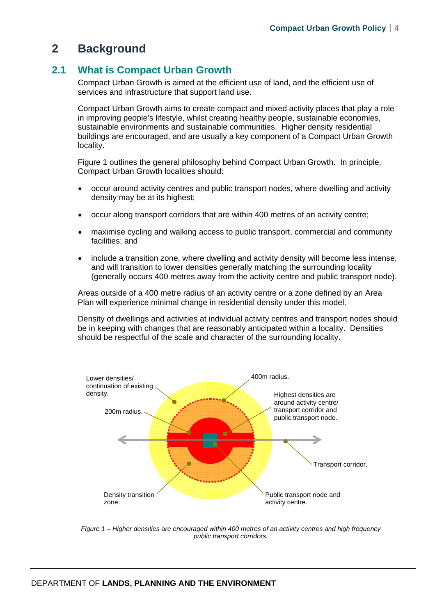## **2 Background**

## **2.1 What is Compact Urban Growth**

Compact Urban Growth is aimed at the efficient use of land, and the efficient use of services and infrastructure that support land use.

Compact Urban Growth aims to create compact and mixed activity places that play a role in improving people's lifestyle, whilst creating healthy people, sustainable economies, sustainable environments and sustainable communities. Higher density residential buildings are encouraged, and are usually a key component of a Compact Urban Growth locality.

Figure 1 outlines the general philosophy behind Compact Urban Growth. In principle, Compact Urban Growth localities should:

- occur around activity centres and public transport nodes, where dwelling and activity density may be at its highest;
- occur along transport corridors that are within 400 metres of an activity centre;
- maximise cycling and walking access to public transport, commercial and community facilities; and
- include a transition zone, where dwelling and activity density will become less intense, and will transition to lower densities generally matching the surrounding locality (generally occurs 400 metres away from the activity centre and public transport node).

Areas outside of a 400 metre radius of an activity centre or a zone defined by an Area Plan will experience minimal change in residential density under this model.

Density of dwellings and activities at individual activity centres and transport nodes should be in keeping with changes that are reasonably anticipated within a locality. Densities should be respectful of the scale and character of the surrounding locality.



*Figure 1 – Higher densities are encouraged within 400 metres of an activity centres and high frequency public transport corridors.*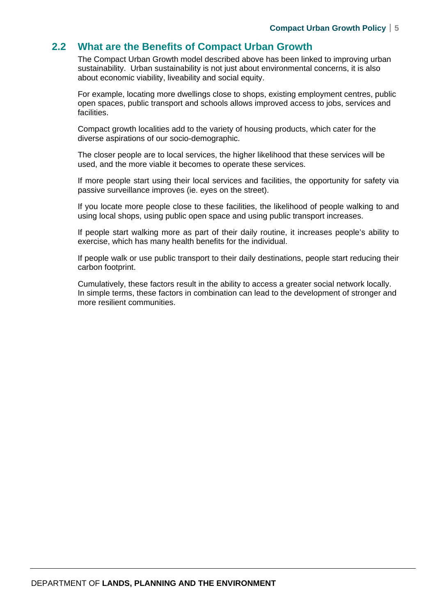### **2.2 What are the Benefits of Compact Urban Growth**

The Compact Urban Growth model described above has been linked to improving urban sustainability. Urban sustainability is not just about environmental concerns, it is also about economic viability, liveability and social equity.

For example, locating more dwellings close to shops, existing employment centres, public open spaces, public transport and schools allows improved access to jobs, services and facilities.

Compact growth localities add to the variety of housing products, which cater for the diverse aspirations of our socio-demographic.

The closer people are to local services, the higher likelihood that these services will be used, and the more viable it becomes to operate these services.

If more people start using their local services and facilities, the opportunity for safety via passive surveillance improves (ie. eyes on the street).

If you locate more people close to these facilities, the likelihood of people walking to and using local shops, using public open space and using public transport increases.

If people start walking more as part of their daily routine, it increases people's ability to exercise, which has many health benefits for the individual.

If people walk or use public transport to their daily destinations, people start reducing their carbon footprint.

Cumulatively, these factors result in the ability to access a greater social network locally. In simple terms, these factors in combination can lead to the development of stronger and more resilient communities.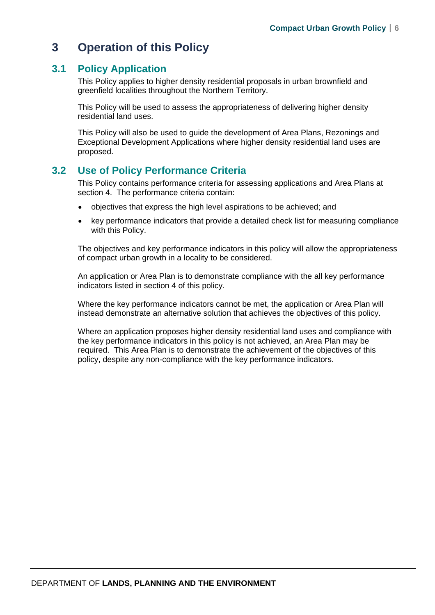## **3 Operation of this Policy**

## **3.1 Policy Application**

This Policy applies to higher density residential proposals in urban brownfield and greenfield localities throughout the Northern Territory.

This Policy will be used to assess the appropriateness of delivering higher density residential land uses.

This Policy will also be used to guide the development of Area Plans, Rezonings and Exceptional Development Applications where higher density residential land uses are proposed.

## **3.2 Use of Policy Performance Criteria**

This Policy contains performance criteria for assessing applications and Area Plans at section 4. The performance criteria contain:

- objectives that express the high level aspirations to be achieved; and
- key performance indicators that provide a detailed check list for measuring compliance with this Policy.

The objectives and key performance indicators in this policy will allow the appropriateness of compact urban growth in a locality to be considered.

An application or Area Plan is to demonstrate compliance with the all key performance indicators listed in section 4 of this policy.

Where the key performance indicators cannot be met, the application or Area Plan will instead demonstrate an alternative solution that achieves the objectives of this policy.

Where an application proposes higher density residential land uses and compliance with the key performance indicators in this policy is not achieved, an Area Plan may be required. This Area Plan is to demonstrate the achievement of the objectives of this policy, despite any non-compliance with the key performance indicators.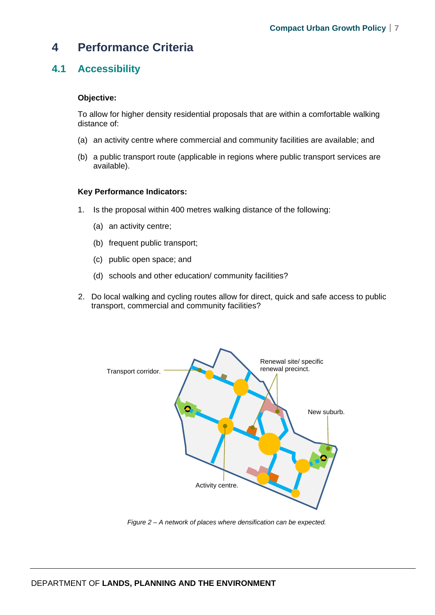## **4 Performance Criteria**

## **4.1 Accessibility**

#### **Objective:**

To allow for higher density residential proposals that are within a comfortable walking distance of:

- (a) an activity centre where commercial and community facilities are available; and
- (b) a public transport route (applicable in regions where public transport services are available).

#### **Key Performance Indicators:**

- 1. Is the proposal within 400 metres walking distance of the following:
	- (a) an activity centre;
	- (b) frequent public transport;
	- (c) public open space; and
	- (d) schools and other education/ community facilities?
- 2. Do local walking and cycling routes allow for direct, quick and safe access to public transport, commercial and community facilities?



*Figure 2 – A network of places where densification can be expected.*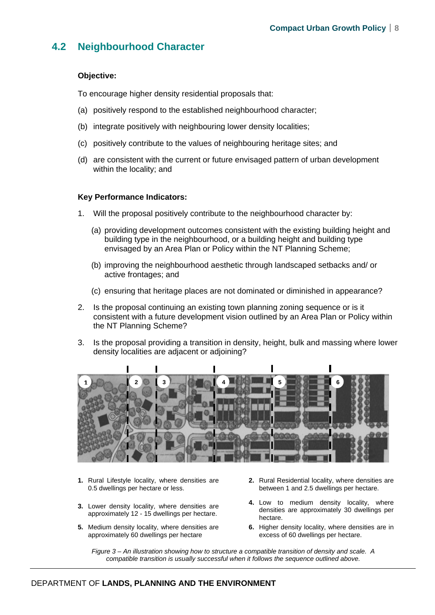## **4.2 Neighbourhood Character**

#### **Objective:**

To encourage higher density residential proposals that:

- (a) positively respond to the established neighbourhood character;
- (b) integrate positively with neighbouring lower density localities;
- (c) positively contribute to the values of neighbouring heritage sites; and
- (d) are consistent with the current or future envisaged pattern of urban development within the locality; and

#### **Key Performance Indicators:**

- 1. Will the proposal positively contribute to the neighbourhood character by:
	- (a) providing development outcomes consistent with the existing building height and building type in the neighbourhood, or a building height and building type envisaged by an Area Plan or Policy within the NT Planning Scheme;
	- (b) improving the neighbourhood aesthetic through landscaped setbacks and/ or active frontages; and
	- (c) ensuring that heritage places are not dominated or diminished in appearance?
- 2. Is the proposal continuing an existing town planning zoning sequence or is it consistent with a future development vision outlined by an Area Plan or Policy within the NT Planning Scheme?
- 3. Is the proposal providing a transition in density, height, bulk and massing where lower density localities are adjacent or adjoining?



- **1.** Rural Lifestyle locality, where densities are 0.5 dwellings per hectare or less.
- **3.** Lower density locality, where densities are approximately 12 - 15 dwellings per hectare.
- **5.** Medium density locality, where densities are approximately 60 dwellings per hectare
- **2.** Rural Residential locality, where densities are between 1 and 2.5 dwellings per hectare.
- **4.** Low to medium density locality, where densities are approximately 30 dwellings per hectare.
- **6.** Higher density locality, where densities are in excess of 60 dwellings per hectare.

*Figure 3 – An illustration showing how to structure a compatible transition of density and scale. A compatible transition is usually successful when it follows the sequence outlined above.*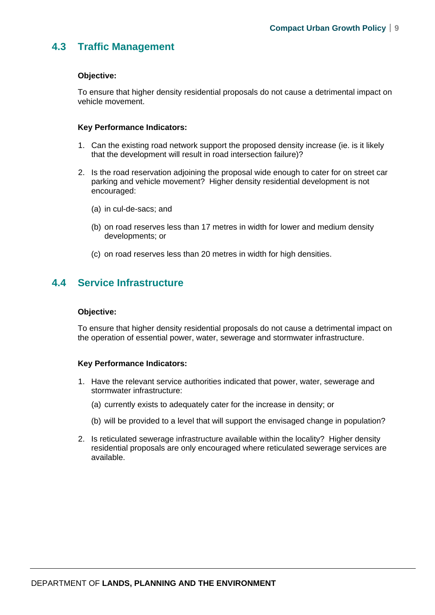## **4.3 Traffic Management**

#### **Objective:**

To ensure that higher density residential proposals do not cause a detrimental impact on vehicle movement.

#### **Key Performance Indicators:**

- 1. Can the existing road network support the proposed density increase (ie. is it likely that the development will result in road intersection failure)?
- 2. Is the road reservation adjoining the proposal wide enough to cater for on street car parking and vehicle movement? Higher density residential development is not encouraged:
	- (a) in cul-de-sacs; and
	- (b) on road reserves less than 17 metres in width for lower and medium density developments; or
	- (c) on road reserves less than 20 metres in width for high densities.

## **4.4 Service Infrastructure**

#### **Objective:**

To ensure that higher density residential proposals do not cause a detrimental impact on the operation of essential power, water, sewerage and stormwater infrastructure.

#### **Key Performance Indicators:**

- 1. Have the relevant service authorities indicated that power, water, sewerage and stormwater infrastructure:
	- (a) currently exists to adequately cater for the increase in density; or
	- (b) will be provided to a level that will support the envisaged change in population?
- 2. Is reticulated sewerage infrastructure available within the locality? Higher density residential proposals are only encouraged where reticulated sewerage services are available.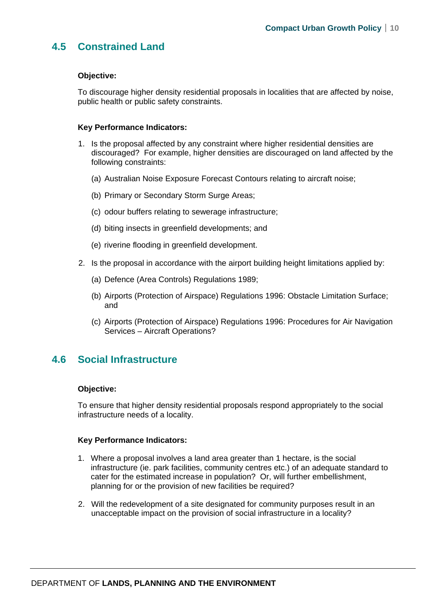## **4.5 Constrained Land**

#### **Objective:**

To discourage higher density residential proposals in localities that are affected by noise, public health or public safety constraints.

#### **Key Performance Indicators:**

- 1. Is the proposal affected by any constraint where higher residential densities are discouraged? For example, higher densities are discouraged on land affected by the following constraints:
	- (a) Australian Noise Exposure Forecast Contours relating to aircraft noise;
	- (b) Primary or Secondary Storm Surge Areas;
	- (c) odour buffers relating to sewerage infrastructure;
	- (d) biting insects in greenfield developments; and
	- (e) riverine flooding in greenfield development.
- 2. Is the proposal in accordance with the airport building height limitations applied by:
	- (a) Defence (Area Controls) Regulations 1989;
	- (b) Airports (Protection of Airspace) Regulations 1996: Obstacle Limitation Surface; and
	- (c) Airports (Protection of Airspace) Regulations 1996: Procedures for Air Navigation Services – Aircraft Operations?

## **4.6 Social Infrastructure**

#### **Objective:**

To ensure that higher density residential proposals respond appropriately to the social infrastructure needs of a locality.

#### **Key Performance Indicators:**

- 1. Where a proposal involves a land area greater than 1 hectare, is the social infrastructure (ie. park facilities, community centres etc.) of an adequate standard to cater for the estimated increase in population? Or, will further embellishment, planning for or the provision of new facilities be required?
- 2. Will the redevelopment of a site designated for community purposes result in an unacceptable impact on the provision of social infrastructure in a locality?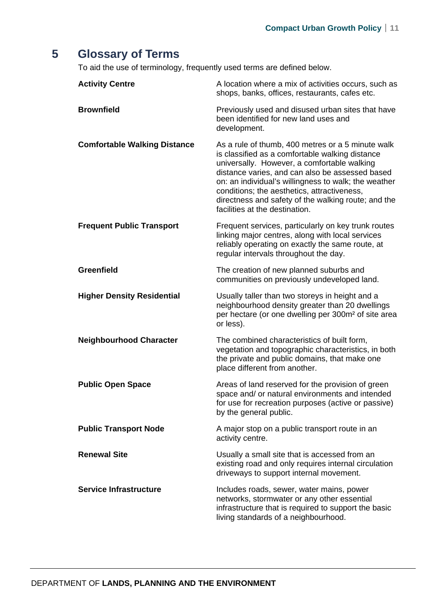## **5 Glossary of Terms**

To aid the use of terminology, frequently used terms are defined below.

| <b>Activity Centre</b>              | A location where a mix of activities occurs, such as<br>shops, banks, offices, restaurants, cafes etc.                                                                                                                                                                                                                                                                                                 |
|-------------------------------------|--------------------------------------------------------------------------------------------------------------------------------------------------------------------------------------------------------------------------------------------------------------------------------------------------------------------------------------------------------------------------------------------------------|
| <b>Brownfield</b>                   | Previously used and disused urban sites that have<br>been identified for new land uses and<br>development.                                                                                                                                                                                                                                                                                             |
| <b>Comfortable Walking Distance</b> | As a rule of thumb, 400 metres or a 5 minute walk<br>is classified as a comfortable walking distance<br>universally. However, a comfortable walking<br>distance varies, and can also be assessed based<br>on: an individual's willingness to walk; the weather<br>conditions; the aesthetics, attractiveness,<br>directness and safety of the walking route; and the<br>facilities at the destination. |
| <b>Frequent Public Transport</b>    | Frequent services, particularly on key trunk routes<br>linking major centres, along with local services<br>reliably operating on exactly the same route, at<br>regular intervals throughout the day.                                                                                                                                                                                                   |
| <b>Greenfield</b>                   | The creation of new planned suburbs and<br>communities on previously undeveloped land.                                                                                                                                                                                                                                                                                                                 |
| <b>Higher Density Residential</b>   | Usually taller than two storeys in height and a<br>neighbourhood density greater than 20 dwellings<br>per hectare (or one dwelling per 300m <sup>2</sup> of site area<br>or less).                                                                                                                                                                                                                     |
| <b>Neighbourhood Character</b>      | The combined characteristics of built form,<br>vegetation and topographic characteristics, in both<br>the private and public domains, that make one<br>place different from another.                                                                                                                                                                                                                   |
| <b>Public Open Space</b>            | Areas of land reserved for the provision of green<br>space and/ or natural environments and intended<br>for use for recreation purposes (active or passive)<br>by the general public.                                                                                                                                                                                                                  |
| <b>Public Transport Node</b>        | A major stop on a public transport route in an<br>activity centre.                                                                                                                                                                                                                                                                                                                                     |
| <b>Renewal Site</b>                 | Usually a small site that is accessed from an<br>existing road and only requires internal circulation<br>driveways to support internal movement.                                                                                                                                                                                                                                                       |
| <b>Service Infrastructure</b>       | Includes roads, sewer, water mains, power<br>networks, stormwater or any other essential<br>infrastructure that is required to support the basic<br>living standards of a neighbourhood.                                                                                                                                                                                                               |